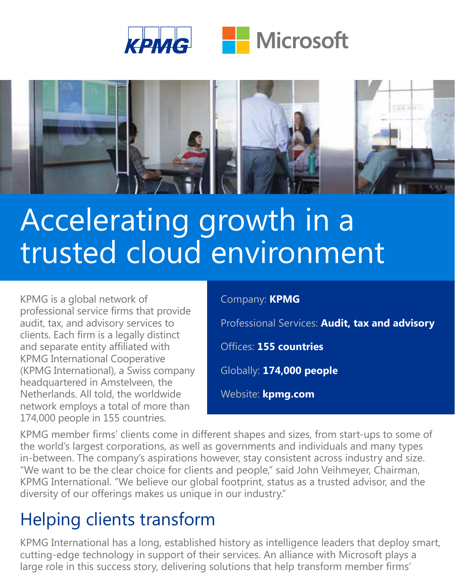



# Accelerating growth in a trusted cloud environment

KPMG is a global network of professional service firms that provide audit, tax, and advisory services to clients. Each firm is a legally distinct and separate entity affiliated with KPMG International Cooperative (KPMG International), a Swiss company headquartered in Amstelveen, the Netherlands. All told, the worldwide network employs a total of more than 174,000 people in 155 countries.

#### Company: **KPMG**

Professional Services: **Audit, tax and advisory**

Offices: **155 countries**

Globally: **174,000 people**

Website: **kpmg.com**

KPMG member firms' clients come in different shapes and sizes, from start-ups to some of the world's largest corporations, as well as governments and individuals and many types in-between. The company's aspirations however, stay consistent across industry and size. "We want to be the clear choice for clients and people," said John Veihmeyer, Chairman, KPMG International. "We believe our global footprint, status as a trusted advisor, and the diversity of our offerings makes us unique in our industry."

### Helping clients transform

KPMG International has a long, established history as intelligence leaders that deploy smart, cutting-edge technology in support of their services. An alliance with Microsoft plays a large role in this success story, delivering solutions that help transform member firms'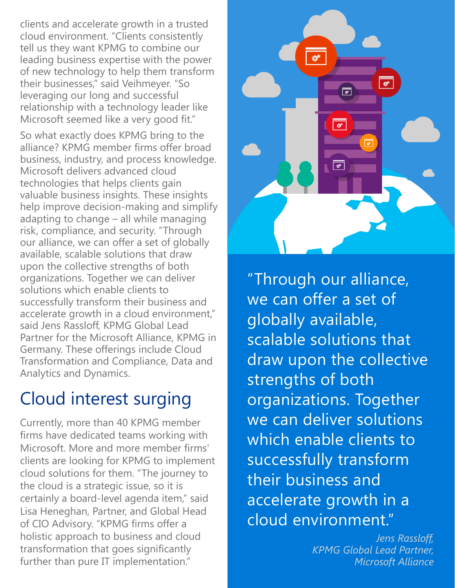clients and accelerate growth in a trusted cloud environment. "Clients consistently tell us they want KPMG to combine our leading business expertise with the power of new technology to help them transform their businesses," said Veihmeyer. "So leveraging our long and successful relationship with a technology leader like Microsoft seemed like a very good fit."

So what exactly does KPMG bring to the alliance? KPMG member firms offer broad business, industry, and process knowledge. Microsoft delivers advanced cloud technologies that helps clients gain valuable business insights. These insights help improve decision-making and simplify adapting to change – all while managing risk, compliance, and security. "Through our alliance, we can offer a set of globally available, scalable solutions that draw upon the collective strengths of both organizations. Together we can deliver solutions which enable clients to successfully transform their business and accelerate growth in a cloud environment," said Jens Rassloff, KPMG Global Lead Partner for the Microsoft Alliance, KPMG in Germany. These offerings include Cloud Transformation and Compliance, Data and Analytics and Dynamics.

#### Cloud interest surging

Currently, more than 40 KPMG member firms have dedicated teams working with Microsoft. More and more member firms' clients are looking for KPMG to implement cloud solutions for them. "The journey to the cloud is a strategic issue, so it is certainly a board-level agenda item," said Lisa Heneghan, Partner, and Global Head of CIO Advisory. "KPMG firms offer a holistic approach to business and cloud transformation that goes significantly further than pure IT implementation."



"Through our alliance, we can offer a set of globally available, scalable solutions that draw upon the collective strengths of both organizations. Together we can deliver solutions which enable clients to successfully transform their business and accelerate growth in a cloud environment."

> *Jens Rassloff, KPMG Global Lead Partner, Microsoft Alliance*